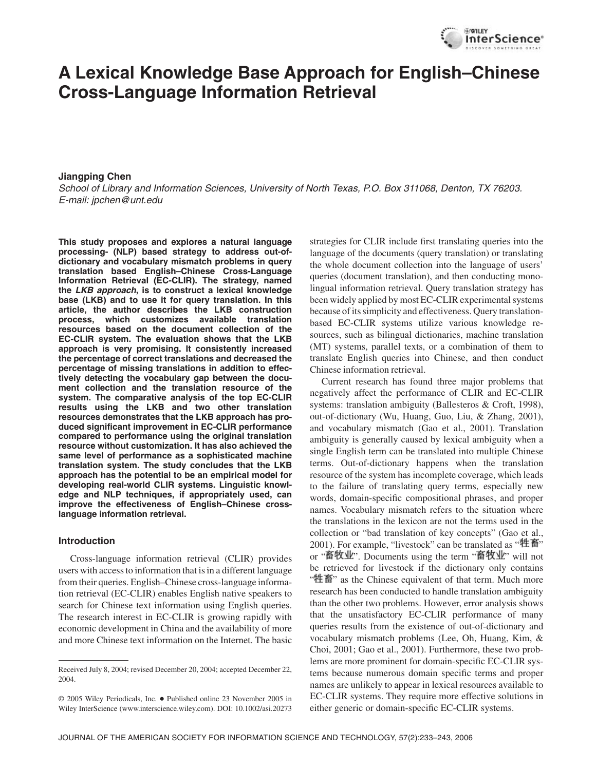

# **A Lexical Knowledge Base Approach for English–Chinese Cross-Language Information Retrieval**

# **Jiangping Chen**

School of Library and Information Sciences, University of North Texas, P.O. Box 311068, Denton, TX 76203. E-mail: jpchen@unt.edu

**This study proposes and explores a natural language processing- (NLP) based strategy to address out-ofdictionary and vocabulary mismatch problems in query translation based English–Chinese Cross-Language Information Retrieval (EC-CLIR). The strategy, named the** *LKB approach***, is to construct a lexical knowledge base (LKB) and to use it for query translation. In this article, the author describes the LKB construction process, which customizes available translation resources based on the document collection of the EC-CLIR system. The evaluation shows that the LKB approach is very promising. It consistently increased the percentage of correct translations and decreased the percentage of missing translations in addition to effectively detecting the vocabulary gap between the document collection and the translation resource of the system. The comparative analysis of the top EC-CLIR results using the LKB and two other translation resources demonstrates that the LKB approach has produced significant improvement in EC-CLIR performance compared to performance using the original translation resource without customization. It has also achieved the same level of performance as a sophisticated machine translation system. The study concludes that the LKB approach has the potential to be an empirical model for developing real-world CLIR systems. Linguistic knowledge and NLP techniques, if appropriately used, can improve the effectiveness of English–Chinese crosslanguage information retrieval.**

## **Introduction**

Cross-language information retrieval (CLIR) provides users with access to information that is in a different language from their queries. English–Chinese cross-language information retrieval (EC-CLIR) enables English native speakers to search for Chinese text information using English queries. The research interest in EC-CLIR is growing rapidly with economic development in China and the availability of more and more Chinese text information on the Internet. The basic strategies for CLIR include first translating queries into the language of the documents (query translation) or translating the whole document collection into the language of users' queries (document translation), and then conducting monolingual information retrieval. Query translation strategy has been widely applied by most EC-CLIR experimental systems because of its simplicity and effectiveness. Query translationbased EC-CLIR systems utilize various knowledge resources, such as bilingual dictionaries, machine translation (MT) systems, parallel texts, or a combination of them to translate English queries into Chinese, and then conduct Chinese information retrieval.

Current research has found three major problems that negatively affect the performance of CLIR and EC-CLIR systems: translation ambiguity (Ballesteros & Croft, 1998), out-of-dictionary (Wu, Huang, Guo, Liu, & Zhang, 2001), and vocabulary mismatch (Gao et al., 2001). Translation ambiguity is generally caused by lexical ambiguity when a single English term can be translated into multiple Chinese terms. Out-of-dictionary happens when the translation resource of the system has incomplete coverage, which leads to the failure of translating query terms, especially new words, domain-specific compositional phrases, and proper names. Vocabulary mismatch refers to the situation where the translations in the lexicon are not the terms used in the collection or "bad translation of key concepts" (Gao et al., 2001). For example, "livestock" can be translated as "牲畜" or "畜牧业". Documents using the term "畜牧业" will not be retrieved for livestock if the dictionary only contains "牲畜" as the Chinese equivalent of that term. Much more research has been conducted to handle translation ambiguity than the other two problems. However, error analysis shows that the unsatisfactory EC-CLIR performance of many queries results from the existence of out-of-dictionary and vocabulary mismatch problems (Lee, Oh, Huang, Kim, & Choi, 2001; Gao et al., 2001). Furthermore, these two problems are more prominent for domain-specific EC-CLIR systems because numerous domain specific terms and proper names are unlikely to appear in lexical resources available to EC-CLIR systems. They require more effective solutions in either generic or domain-specific EC-CLIR systems.

Received July 8, 2004; revised December 20, 2004; accepted December 22, 2004.

<sup>© 2005</sup> Wiley Periodicals, Inc. • Published online 23 November 2005 in Wiley InterScience (www.interscience.wiley.com). DOI: 10.1002/asi.20273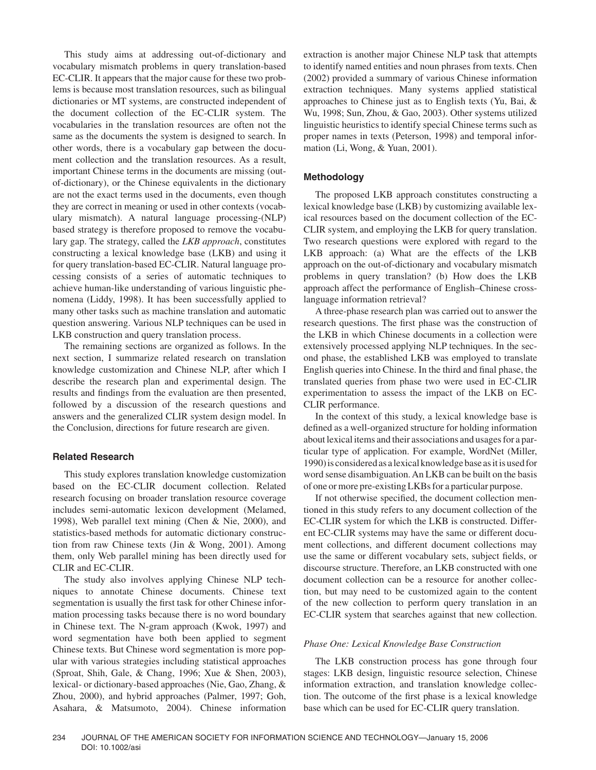This study aims at addressing out-of-dictionary and vocabulary mismatch problems in query translation-based EC-CLIR. It appears that the major cause for these two problems is because most translation resources, such as bilingual dictionaries or MT systems, are constructed independent of the document collection of the EC-CLIR system. The vocabularies in the translation resources are often not the same as the documents the system is designed to search. In other words, there is a vocabulary gap between the document collection and the translation resources. As a result, important Chinese terms in the documents are missing (outof-dictionary), or the Chinese equivalents in the dictionary are not the exact terms used in the documents, even though they are correct in meaning or used in other contexts (vocabulary mismatch). A natural language processing-(NLP) based strategy is therefore proposed to remove the vocabulary gap. The strategy, called the *LKB approach*, constitutes constructing a lexical knowledge base (LKB) and using it for query translation-based EC-CLIR. Natural language processing consists of a series of automatic techniques to achieve human-like understanding of various linguistic phenomena (Liddy, 1998). It has been successfully applied to many other tasks such as machine translation and automatic question answering. Various NLP techniques can be used in LKB construction and query translation process.

The remaining sections are organized as follows. In the next section, I summarize related research on translation knowledge customization and Chinese NLP, after which I describe the research plan and experimental design. The results and findings from the evaluation are then presented, followed by a discussion of the research questions and answers and the generalized CLIR system design model. In the Conclusion, directions for future research are given.

## **Related Research**

This study explores translation knowledge customization based on the EC-CLIR document collection. Related research focusing on broader translation resource coverage includes semi-automatic lexicon development (Melamed, 1998), Web parallel text mining (Chen & Nie, 2000), and statistics-based methods for automatic dictionary construction from raw Chinese texts (Jin & Wong, 2001). Among them, only Web parallel mining has been directly used for CLIR and EC-CLIR.

The study also involves applying Chinese NLP techniques to annotate Chinese documents. Chinese text segmentation is usually the first task for other Chinese information processing tasks because there is no word boundary in Chinese text. The N-gram approach (Kwok, 1997) and word segmentation have both been applied to segment Chinese texts. But Chinese word segmentation is more popular with various strategies including statistical approaches (Sproat, Shih, Gale, & Chang, 1996; Xue & Shen, 2003), lexical- or dictionary-based approaches (Nie, Gao, Zhang, & Zhou, 2000), and hybrid approaches (Palmer, 1997; Goh, Asahara, & Matsumoto, 2004). Chinese information extraction is another major Chinese NLP task that attempts to identify named entities and noun phrases from texts. Chen (2002) provided a summary of various Chinese information extraction techniques. Many systems applied statistical approaches to Chinese just as to English texts (Yu, Bai, & Wu, 1998; Sun, Zhou, & Gao, 2003). Other systems utilized linguistic heuristics to identify special Chinese terms such as proper names in texts (Peterson, 1998) and temporal information (Li, Wong, & Yuan, 2001).

## **Methodology**

The proposed LKB approach constitutes constructing a lexical knowledge base (LKB) by customizing available lexical resources based on the document collection of the EC-CLIR system, and employing the LKB for query translation. Two research questions were explored with regard to the LKB approach: (a) What are the effects of the LKB approach on the out-of-dictionary and vocabulary mismatch problems in query translation? (b) How does the LKB approach affect the performance of English–Chinese crosslanguage information retrieval?

A three-phase research plan was carried out to answer the research questions. The first phase was the construction of the LKB in which Chinese documents in a collection were extensively processed applying NLP techniques. In the second phase, the established LKB was employed to translate English queries into Chinese. In the third and final phase, the translated queries from phase two were used in EC-CLIR experimentation to assess the impact of the LKB on EC-CLIR performance.

In the context of this study, a lexical knowledge base is defined as a well-organized structure for holding information about lexical items and their associations and usages for a particular type of application. For example, WordNet (Miller, 1990) is considered as a lexical knowledge base as it is used for word sense disambiguation. An LKB can be built on the basis of one or more pre-existing LKBs for a particular purpose.

If not otherwise specified, the document collection mentioned in this study refers to any document collection of the EC-CLIR system for which the LKB is constructed. Different EC-CLIR systems may have the same or different document collections, and different document collections may use the same or different vocabulary sets, subject fields, or discourse structure. Therefore, an LKB constructed with one document collection can be a resource for another collection, but may need to be customized again to the content of the new collection to perform query translation in an EC-CLIR system that searches against that new collection.

#### *Phase One: Lexical Knowledge Base Construction*

The LKB construction process has gone through four stages: LKB design, linguistic resource selection, Chinese information extraction, and translation knowledge collection. The outcome of the first phase is a lexical knowledge base which can be used for EC-CLIR query translation.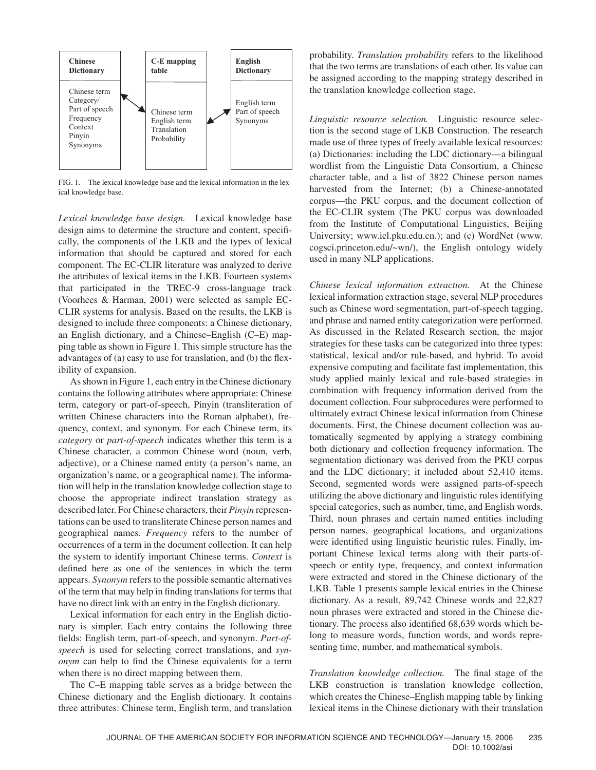

FIG. 1. The lexical knowledge base and the lexical information in the lexical knowledge base.

*Lexical knowledge base design.* Lexical knowledge base design aims to determine the structure and content, specifically, the components of the LKB and the types of lexical information that should be captured and stored for each component. The EC-CLIR literature was analyzed to derive the attributes of lexical items in the LKB. Fourteen systems that participated in the TREC-9 cross-language track (Voorhees & Harman, 2001) were selected as sample EC-CLIR systems for analysis. Based on the results, the LKB is designed to include three components: a Chinese dictionary, an English dictionary, and a Chinese–English (C–E) mapping table as shown in Figure 1. This simple structure has the advantages of (a) easy to use for translation, and (b) the flexibility of expansion.

As shown in Figure 1, each entry in the Chinese dictionary contains the following attributes where appropriate: Chinese term, category or part-of-speech, Pinyin (transliteration of written Chinese characters into the Roman alphabet), frequency, context, and synonym. For each Chinese term, its *category* or *part-of-speech* indicates whether this term is a Chinese character, a common Chinese word (noun, verb, adjective), or a Chinese named entity (a person's name, an organization's name, or a geographical name). The information will help in the translation knowledge collection stage to choose the appropriate indirect translation strategy as described later. For Chinese characters, their *Pinyin* representations can be used to transliterate Chinese person names and geographical names. *Frequency* refers to the number of occurrences of a term in the document collection. It can help the system to identify important Chinese terms. *Context* is defined here as one of the sentences in which the term appears. *Synonym* refers to the possible semantic alternatives of the term that may help in finding translations for terms that have no direct link with an entry in the English dictionary.

Lexical information for each entry in the English dictionary is simpler. Each entry contains the following three fields: English term, part-of-speech, and synonym. *Part-ofspeech* is used for selecting correct translations, and *synonym* can help to find the Chinese equivalents for a term when there is no direct mapping between them.

The C–E mapping table serves as a bridge between the Chinese dictionary and the English dictionary. It contains three attributes: Chinese term, English term, and translation

probability. *Translation probability* refers to the likelihood that the two terms are translations of each other. Its value can be assigned according to the mapping strategy described in the translation knowledge collection stage.

*Linguistic resource selection.* Linguistic resource selection is the second stage of LKB Construction. The research made use of three types of freely available lexical resources: (a) Dictionaries: including the LDC dictionary—a bilingual wordlist from the Linguistic Data Consortium, a Chinese character table, and a list of 3822 Chinese person names harvested from the Internet; (b) a Chinese-annotated corpus—the PKU corpus, and the document collection of the EC-CLIR system (The PKU corpus was downloaded from the Institute of Computational Linguistics, Beijing University; www.icl.pku.edu.cn.); and (c) WordNet (www. cogsci.princeton.edu/~wn/), the English ontology widely used in many NLP applications.

*Chinese lexical information extraction.* At the Chinese lexical information extraction stage, several NLP procedures such as Chinese word segmentation, part-of-speech tagging, and phrase and named entity categorization were performed. As discussed in the Related Research section, the major strategies for these tasks can be categorized into three types: statistical, lexical and/or rule-based, and hybrid. To avoid expensive computing and facilitate fast implementation, this study applied mainly lexical and rule-based strategies in combination with frequency information derived from the document collection. Four subprocedures were performed to ultimately extract Chinese lexical information from Chinese documents. First, the Chinese document collection was automatically segmented by applying a strategy combining both dictionary and collection frequency information. The segmentation dictionary was derived from the PKU corpus and the LDC dictionary; it included about 52,410 items. Second, segmented words were assigned parts-of-speech utilizing the above dictionary and linguistic rules identifying special categories, such as number, time, and English words. Third, noun phrases and certain named entities including person names, geographical locations, and organizations were identified using linguistic heuristic rules. Finally, important Chinese lexical terms along with their parts-ofspeech or entity type, frequency, and context information were extracted and stored in the Chinese dictionary of the LKB. Table 1 presents sample lexical entries in the Chinese dictionary. As a result, 89,742 Chinese words and 22,827 noun phrases were extracted and stored in the Chinese dictionary. The process also identified 68,639 words which belong to measure words, function words, and words representing time, number, and mathematical symbols.

*Translation knowledge collection.* The final stage of the LKB construction is translation knowledge collection, which creates the Chinese–English mapping table by linking lexical items in the Chinese dictionary with their translation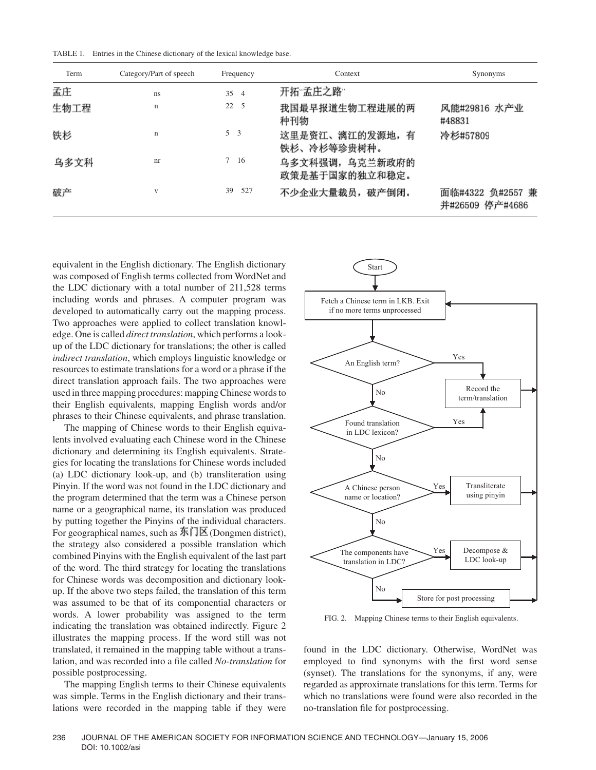|  |  | TABLE 1. Entries in the Chinese dictionary of the lexical knowledge base. |  |  |
|--|--|---------------------------------------------------------------------------|--|--|
|--|--|---------------------------------------------------------------------------|--|--|

| Term | Category/Part of speech | Frequency            | Context                           | Synonyms                            |
|------|-------------------------|----------------------|-----------------------------------|-------------------------------------|
| 孟庄   | ns                      | 35<br>$\overline{4}$ | 开拓 孟庄之路                           |                                     |
| 生物工程 | n                       | 22 5                 | 我国最早报道生物工程进展的两<br>种刊物             | 风能#29816 水产业<br>#48831              |
| 铁杉   | $\mathbf n$             | 5 <sup>3</sup>       | 这里是资江、漓江的发源地,有<br>铁杉、冷杉等珍贵树种。     | 冷杉#57809                            |
| 乌多文科 | nr                      | 7 16                 | 乌多文科强调, 乌克兰新政府的<br>政策是基于国家的独立和稳定。 |                                     |
| 破产   | V                       | 39<br>527            | 不少企业大量裁员, 破产倒闭。                   | 面临#4322 负#2557 兼<br>并#26509 停产#4686 |

equivalent in the English dictionary. The English dictionary was composed of English terms collected from WordNet and the LDC dictionary with a total number of 211,528 terms including words and phrases. A computer program was developed to automatically carry out the mapping process. Two approaches were applied to collect translation knowledge. One is called *direct translation*, which performs a lookup of the LDC dictionary for translations; the other is called *indirect translation*, which employs linguistic knowledge or resources to estimate translations for a word or a phrase if the direct translation approach fails. The two approaches were used in three mapping procedures: mapping Chinese words to their English equivalents, mapping English words and/or phrases to their Chinese equivalents, and phrase translation.

The mapping of Chinese words to their English equivalents involved evaluating each Chinese word in the Chinese dictionary and determining its English equivalents. Strategies for locating the translations for Chinese words included (a) LDC dictionary look-up, and (b) transliteration using Pinyin. If the word was not found in the LDC dictionary and the program determined that the term was a Chinese person name or a geographical name, its translation was produced by putting together the Pinyins of the individual characters. For geographical names, such as  $\overline{\mathcal{F}} \cap \overline{\mathbb{E}}$  (Dongmen district), the strategy also considered a possible translation which combined Pinyins with the English equivalent of the last part of the word. The third strategy for locating the translations for Chinese words was decomposition and dictionary lookup. If the above two steps failed, the translation of this term was assumed to be that of its componential characters or words. A lower probability was assigned to the term indicating the translation was obtained indirectly. Figure 2 illustrates the mapping process. If the word still was not translated, it remained in the mapping table without a translation, and was recorded into a file called *No-translation* for possible postprocessing.

The mapping English terms to their Chinese equivalents was simple. Terms in the English dictionary and their translations were recorded in the mapping table if they were



FIG. 2. Mapping Chinese terms to their English equivalents.

found in the LDC dictionary. Otherwise, WordNet was employed to find synonyms with the first word sense (synset). The translations for the synonyms, if any, were regarded as approximate translations for this term. Terms for which no translations were found were also recorded in the no-translation file for postprocessing.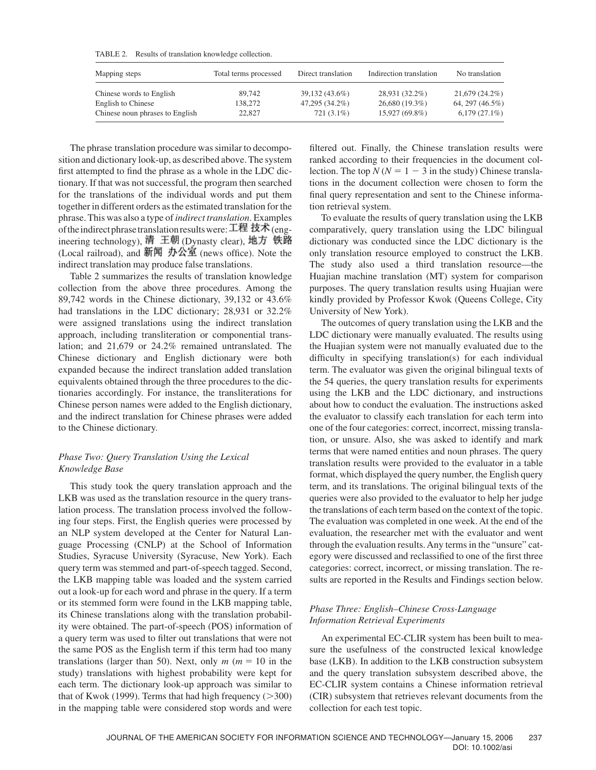TABLE 2. Results of translation knowledge collection.

| Mapping steps                                  | Total terms processed | Direct translation               | Indirection translation          | No translation                    |
|------------------------------------------------|-----------------------|----------------------------------|----------------------------------|-----------------------------------|
| Chinese words to English<br>English to Chinese | 89,742<br>138,272     | 39,132 (43.6%)<br>47.295 (34.2%) | 28.931 (32.2%)<br>26,680 (19.3%) | 21,679 (24.2%)<br>64, 297 (46.5%) |
| Chinese noun phrases to English                | 22,827                | $721(3.1\%)$                     | 15,927 (69.8%)                   | $6,179(27.1\%)$                   |

The phrase translation procedure was similar to decomposition and dictionary look-up, as described above. The system first attempted to find the phrase as a whole in the LDC dictionary. If that was not successful, the program then searched for the translations of the individual words and put them together in different orders as the estimated translation for the phrase. This was also a type of *indirect translation*. Examples of the indirect phrase translation results were: 工程 技术 (engineering technology), 清 王朝 (Dynasty clear), 地方 铁路 (Local railroad), and 新闻 办公室 (news office). Note the indirect translation may produce false translations.

Table 2 summarizes the results of translation knowledge collection from the above three procedures. Among the 89,742 words in the Chinese dictionary, 39,132 or 43.6% had translations in the LDC dictionary; 28,931 or 32.2% were assigned translations using the indirect translation approach, including transliteration or componential translation; and 21,679 or 24.2% remained untranslated. The Chinese dictionary and English dictionary were both expanded because the indirect translation added translation equivalents obtained through the three procedures to the dictionaries accordingly. For instance, the transliterations for Chinese person names were added to the English dictionary, and the indirect translation for Chinese phrases were added to the Chinese dictionary.

## *Phase Two: Query Translation Using the Lexical Knowledge Base*

This study took the query translation approach and the LKB was used as the translation resource in the query translation process. The translation process involved the following four steps. First, the English queries were processed by an NLP system developed at the Center for Natural Language Processing (CNLP) at the School of Information Studies, Syracuse University (Syracuse, New York). Each query term was stemmed and part-of-speech tagged. Second, the LKB mapping table was loaded and the system carried out a look-up for each word and phrase in the query. If a term or its stemmed form were found in the LKB mapping table, its Chinese translations along with the translation probability were obtained. The part-of-speech (POS) information of a query term was used to filter out translations that were not the same POS as the English term if this term had too many translations (larger than 50). Next, only  $m$  ( $m = 10$  in the study) translations with highest probability were kept for each term. The dictionary look-up approach was similar to that of Kwok (1999). Terms that had high frequency  $(>\!\!300)$ in the mapping table were considered stop words and were

filtered out. Finally, the Chinese translation results were ranked according to their frequencies in the document collection. The top  $N (N = 1 - 3$  in the study) Chinese translations in the document collection were chosen to form the final query representation and sent to the Chinese information retrieval system.

To evaluate the results of query translation using the LKB comparatively, query translation using the LDC bilingual dictionary was conducted since the LDC dictionary is the only translation resource employed to construct the LKB. The study also used a third translation resource—the Huajian machine translation (MT) system for comparison purposes. The query translation results using Huajian were kindly provided by Professor Kwok (Queens College, City University of New York).

The outcomes of query translation using the LKB and the LDC dictionary were manually evaluated. The results using the Huajian system were not manually evaluated due to the difficulty in specifying translation(s) for each individual term. The evaluator was given the original bilingual texts of the 54 queries, the query translation results for experiments using the LKB and the LDC dictionary, and instructions about how to conduct the evaluation. The instructions asked the evaluator to classify each translation for each term into one of the four categories: correct, incorrect, missing translation, or unsure. Also, she was asked to identify and mark terms that were named entities and noun phrases. The query translation results were provided to the evaluator in a table format, which displayed the query number, the English query term, and its translations. The original bilingual texts of the queries were also provided to the evaluator to help her judge the translations of each term based on the context of the topic. The evaluation was completed in one week. At the end of the evaluation, the researcher met with the evaluator and went through the evaluation results. Any terms in the "unsure" category were discussed and reclassified to one of the first three categories: correct, incorrect, or missing translation. The results are reported in the Results and Findings section below.

## *Phase Three: English–Chinese Cross-Language Information Retrieval Experiments*

An experimental EC-CLIR system has been built to measure the usefulness of the constructed lexical knowledge base (LKB). In addition to the LKB construction subsystem and the query translation subsystem described above, the EC-CLIR system contains a Chinese information retrieval (CIR) subsystem that retrieves relevant documents from the collection for each test topic.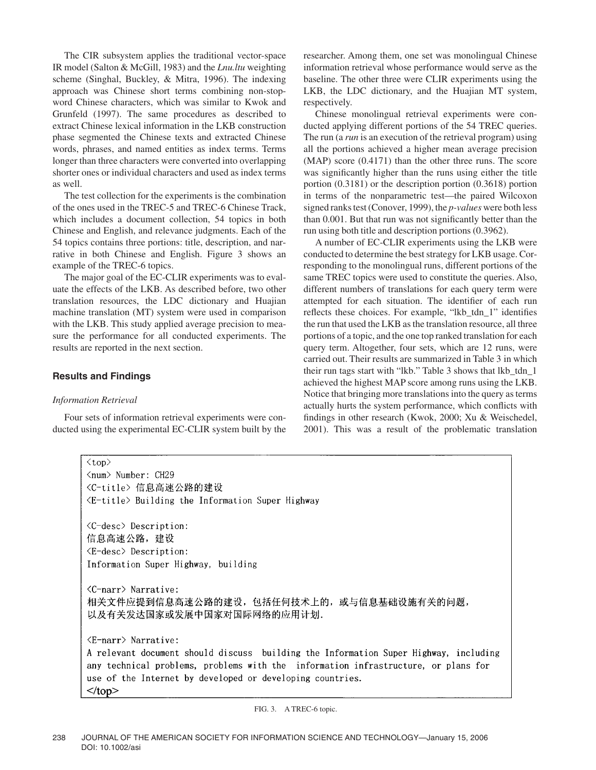The CIR subsystem applies the traditional vector-space IR model (Salton & McGill, 1983) and the *Lnu.ltu* weighting scheme (Singhal, Buckley, & Mitra, 1996). The indexing approach was Chinese short terms combining non-stopword Chinese characters, which was similar to Kwok and Grunfeld (1997). The same procedures as described to extract Chinese lexical information in the LKB construction phase segmented the Chinese texts and extracted Chinese words, phrases, and named entities as index terms. Terms longer than three characters were converted into overlapping shorter ones or individual characters and used as index terms as well.

The test collection for the experiments is the combination of the ones used in the TREC-5 and TREC-6 Chinese Track, which includes a document collection, 54 topics in both Chinese and English, and relevance judgments. Each of the 54 topics contains three portions: title, description, and narrative in both Chinese and English. Figure 3 shows an example of the TREC-6 topics.

The major goal of the EC-CLIR experiments was to evaluate the effects of the LKB. As described before, two other translation resources, the LDC dictionary and Huajian machine translation (MT) system were used in comparison with the LKB. This study applied average precision to measure the performance for all conducted experiments. The results are reported in the next section.

## **Results and Findings**

#### *Information Retrieval*

Four sets of information retrieval experiments were conducted using the experimental EC-CLIR system built by the researcher. Among them, one set was monolingual Chinese information retrieval whose performance would serve as the baseline. The other three were CLIR experiments using the LKB, the LDC dictionary, and the Huajian MT system, respectively.

Chinese monolingual retrieval experiments were conducted applying different portions of the 54 TREC queries. The run (a *run* is an execution of the retrieval program) using all the portions achieved a higher mean average precision (MAP) score (0.4171) than the other three runs. The score was significantly higher than the runs using either the title portion (0.3181) or the description portion (0.3618) portion in terms of the nonparametric test—the paired Wilcoxon signed ranks test (Conover, 1999), the *p-values* were both less than 0.001. But that run was not significantly better than the run using both title and description portions (0.3962).

A number of EC-CLIR experiments using the LKB were conducted to determine the best strategy for LKB usage. Corresponding to the monolingual runs, different portions of the same TREC topics were used to constitute the queries. Also, different numbers of translations for each query term were attempted for each situation. The identifier of each run reflects these choices. For example, "lkb\_tdn\_1" identifies the run that used the LKB as the translation resource, all three portions of a topic, and the one top ranked translation for each query term. Altogether, four sets, which are 12 runs, were carried out. Their results are summarized in Table 3 in which their run tags start with "lkb." Table 3 shows that lkb\_tdn\_1 achieved the highest MAP score among runs using the LKB. Notice that bringing more translations into the query as terms actually hurts the system performance, which conflicts with findings in other research (Kwok, 2000; Xu & Weischedel, 2001). This was a result of the problematic translation

 $\langle \text{top} \rangle$ <num> Number: CH29 <C-title> 信息高速公路的建设 <E-title> Building the Information Super Highway  $\langle$ C-desc $\rangle$  Description: 信息高速公路, 建设  $\langle$ E-desc $\rangle$  Description: Information Super Highway, building <C-narr> Narrative: 相关文件应提到信息高速公路的建设,包括任何技术上的,或与信息基础设施有关的问题, 以及有关发达国家或发展中国家对国际网络的应用计划. <E-narr> Narrative: A relevant document should discuss building the Information Super Highway, including any technical problems, problems with the information infrastructure, or plans for use of the Internet by developed or developing countries.  $\langle$ top>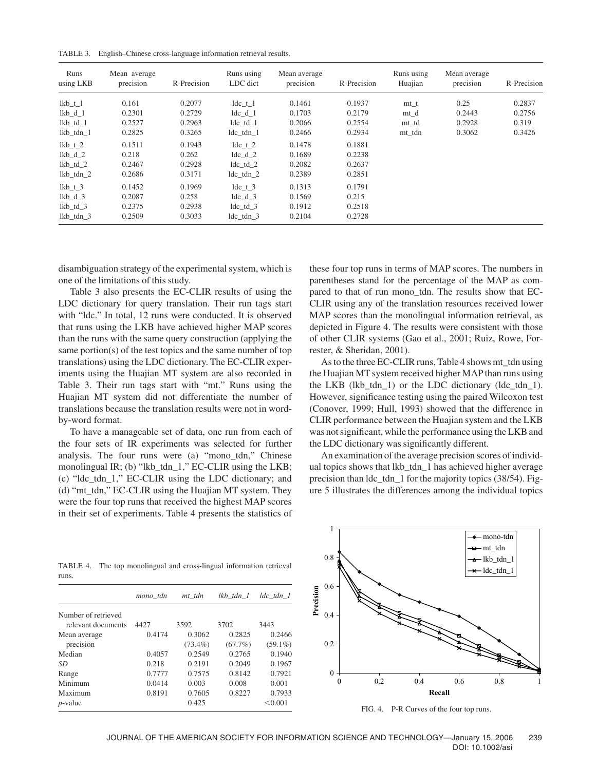TABLE 3. English–Chinese cross-language information retrieval results.

| Runs<br>using LKB | Mean average<br>precision | R-Precision | Runs using<br>LDC dict | Mean average<br>precision | R-Precision | Runs using<br>Huajian | Mean average<br>precision | R-Precision |
|-------------------|---------------------------|-------------|------------------------|---------------------------|-------------|-----------------------|---------------------------|-------------|
| $lkb_t_1$         | 0.161                     | 0.2077      | $1dc$ t $1$            | 0.1461                    | 0.1937      | $mt_t$                | 0.25                      | 0.2837      |
| lkb d 1           | 0.2301                    | 0.2729      | $1dc \ d \ 1$          | 0.1703                    | 0.2179      | mt_d                  | 0.2443                    | 0.2756      |
| lkb td 1          | 0.2527                    | 0.2963      | ldc td 1               | 0.2066                    | 0.2554      | mt td                 | 0.2928                    | 0.319       |
| $lkb_tdn_1$       | 0.2825                    | 0.3265      | $1dc\_tdn\_1$          | 0.2466                    | 0.2934      | mt_tdn                | 0.3062                    | 0.3426      |
| $1kb$ t 2         | 0.1511                    | 0.1943      | $1dc$ t 2              | 0.1478                    | 0.1881      |                       |                           |             |
| lkb d 2           | 0.218                     | 0.262       | $1dc \ d \ 2$          | 0.1689                    | 0.2238      |                       |                           |             |
| $lkb_{d_2}$       | 0.2467                    | 0.2928      | $1dc$ td $2$           | 0.2082                    | 0.2637      |                       |                           |             |
| $lkb_tdn_2$       | 0.2686                    | 0.3171      | ldc tdn 2              | 0.2389                    | 0.2851      |                       |                           |             |
| $lkb$ t 3         | 0.1452                    | 0.1969      | $1dc$ t 3              | 0.1313                    | 0.1791      |                       |                           |             |
| lkb d 3           | 0.2087                    | 0.258       | $1dc \ d \ 3$          | 0.1569                    | 0.215       |                       |                           |             |
| lkb td 3          | 0.2375                    | 0.2938      | $1dc$ td $3$           | 0.1912                    | 0.2518      |                       |                           |             |
| lkb tdn 3         | 0.2509                    | 0.3033      | ldc tdn 3              | 0.2104                    | 0.2728      |                       |                           |             |

disambiguation strategy of the experimental system, which is one of the limitations of this study.

Table 3 also presents the EC-CLIR results of using the LDC dictionary for query translation. Their run tags start with "ldc." In total, 12 runs were conducted. It is observed that runs using the LKB have achieved higher MAP scores than the runs with the same query construction (applying the same portion(s) of the test topics and the same number of top translations) using the LDC dictionary. The EC-CLIR experiments using the Huajian MT system are also recorded in Table 3. Their run tags start with "mt." Runs using the Huajian MT system did not differentiate the number of translations because the translation results were not in wordby-word format.

To have a manageable set of data, one run from each of the four sets of IR experiments was selected for further analysis. The four runs were (a) "mono\_tdn," Chinese monolingual IR; (b) "lkb\_tdn\_1," EC-CLIR using the LKB; (c) "ldc\_tdn\_1," EC-CLIR using the LDC dictionary; and (d) "mt\_tdn," EC-CLIR using the Huajian MT system. They were the four top runs that received the highest MAP scores in their set of experiments. Table 4 presents the statistics of these four top runs in terms of MAP scores. The numbers in parentheses stand for the percentage of the MAP as compared to that of run mono\_tdn. The results show that EC-CLIR using any of the translation resources received lower MAP scores than the monolingual information retrieval, as depicted in Figure 4. The results were consistent with those of other CLIR systems (Gao et al., 2001; Ruiz, Rowe, Forrester, & Sheridan, 2001).

As to the three EC-CLIR runs, Table 4 shows mt\_tdn using the Huajian MT system received higher MAP than runs using the LKB (lkb\_tdn\_1) or the LDC dictionary (ldc\_tdn\_1). However, significance testing using the paired Wilcoxon test (Conover, 1999; Hull, 1993) showed that the difference in CLIR performance between the Huajian system and the LKB was not significant, while the performance using the LKB and the LDC dictionary was significantly different.

An examination of the average precision scores of individual topics shows that lkb\_tdn\_1 has achieved higher average precision than ldc\_tdn\_1 for the majority topics (38/54). Figure 5 illustrates the differences among the individual topics

runs. *mono\_tdn mt\_tdn lkb\_tdn\_1 ldc\_tdn\_1*

TABLE 4. The top monolingual and cross-lingual information retrieval

| Number of retrieved |        |            |         |            |
|---------------------|--------|------------|---------|------------|
| relevant documents  | 4427   | 3592       | 3702    | 3443       |
| Mean average        | 0.4174 | 0.3062     | 0.2825  | 0.2466     |
| precision           |        | $(73.4\%)$ | (67.7%) | $(59.1\%)$ |
| Median              | 0.4057 | 0.2549     | 0.2765  | 0.1940     |
| SD                  | 0.218  | 0.2191     | 0.2049  | 0.1967     |
| Range               | 0.7777 | 0.7575     | 0.8142  | 0.7921     |
| Minimum             | 0.0414 | 0.003      | 0.008   | 0.001      |
| Maximum             | 0.8191 | 0.7605     | 0.8227  | 0.7933     |
| $p$ -value          |        | 0.425      |         | < 0.001    |



FIG. 4. P-R Curves of the four top runs.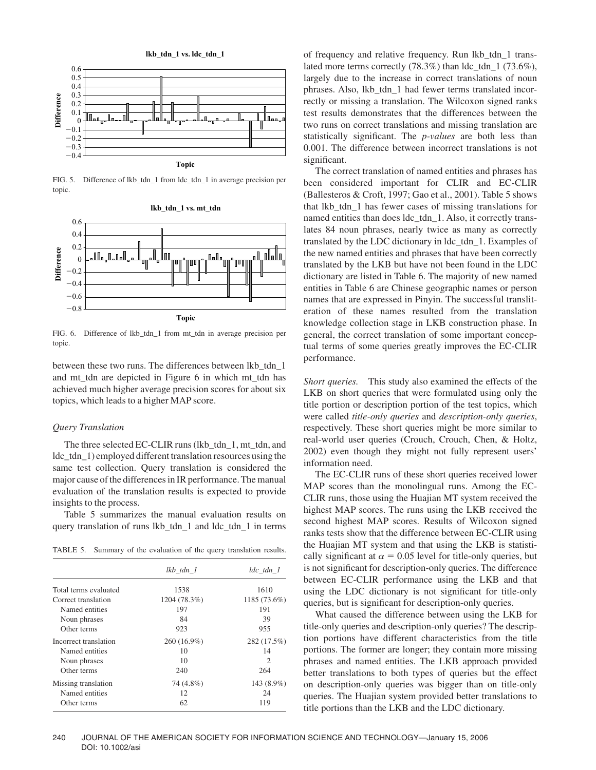**lkb\_tdn\_1 vs. ldc\_tdn\_1**



FIG. 5. Difference of lkb\_tdn\_1 from ldc\_tdn\_1 in average precision per topic.



FIG. 6. Difference of lkb\_tdn\_1 from mt\_tdn in average precision per topic.

between these two runs. The differences between lkb tdn 1 and mt\_tdn are depicted in Figure 6 in which mt\_tdn has achieved much higher average precision scores for about six topics, which leads to a higher MAP score.

#### *Query Translation*

The three selected EC-CLIR runs (lkb\_tdn\_1, mt\_tdn, and ldc tdn 1) employed different translation resources using the same test collection. Query translation is considered the major cause of the differences in IR performance. The manual evaluation of the translation results is expected to provide insights to the process.

Table 5 summarizes the manual evaluation results on query translation of runs lkb\_tdn\_1 and ldc\_tdn\_1 in terms

TABLE 5. Summary of the evaluation of the query translation results.

|                       | lkb tdn 1    | ldc tdn 1    |
|-----------------------|--------------|--------------|
| Total terms evaluated | 1538         | 1610         |
| Correct translation   | 1204 (78.3%) | 1185 (73.6%) |
| Named entities        | 197          | 191          |
| Noun phrases          | 84           | 39           |
| Other terms           | 923          | 955          |
| Incorrect translation | 260 (16.9%)  | 282 (17.5%)  |
| Named entities        | 10           | 14           |
| Noun phrases          | 10           | 2            |
| Other terms           | 240          | 264          |
| Missing translation   | 74 (4.8%)    | 143 (8.9%)   |
| Named entities        | 12           | 24           |
| Other terms           | 62           | 119          |

of frequency and relative frequency. Run lkb\_tdn\_1 translated more terms correctly  $(78.3\%)$  than ldc tdn 1 (73.6%), largely due to the increase in correct translations of noun phrases. Also, lkb\_tdn\_1 had fewer terms translated incorrectly or missing a translation. The Wilcoxon signed ranks test results demonstrates that the differences between the two runs on correct translations and missing translation are statistically significant. The *p-values* are both less than 0.001. The difference between incorrect translations is not significant.

The correct translation of named entities and phrases has been considered important for CLIR and EC-CLIR (Ballesteros & Croft, 1997; Gao et al., 2001). Table 5 shows that lkb\_tdn\_1 has fewer cases of missing translations for named entities than does ldc\_tdn\_1. Also, it correctly translates 84 noun phrases, nearly twice as many as correctly translated by the LDC dictionary in ldc\_tdn\_1. Examples of the new named entities and phrases that have been correctly translated by the LKB but have not been found in the LDC dictionary are listed in Table 6. The majority of new named entities in Table 6 are Chinese geographic names or person names that are expressed in Pinyin. The successful transliteration of these names resulted from the translation knowledge collection stage in LKB construction phase. In general, the correct translation of some important conceptual terms of some queries greatly improves the EC-CLIR performance.

*Short queries.* This study also examined the effects of the LKB on short queries that were formulated using only the title portion or description portion of the test topics, which were called *title-only queries* and *description-only queries*, respectively. These short queries might be more similar to real-world user queries (Crouch, Crouch, Chen, & Holtz, 2002) even though they might not fully represent users' information need.

The EC-CLIR runs of these short queries received lower MAP scores than the monolingual runs. Among the EC-CLIR runs, those using the Huajian MT system received the highest MAP scores. The runs using the LKB received the second highest MAP scores. Results of Wilcoxon signed ranks tests show that the difference between EC-CLIR using the Huajian MT system and that using the LKB is statistically significant at  $\alpha = 0.05$  level for title-only queries, but is not significant for description-only queries. The difference between EC-CLIR performance using the LKB and that using the LDC dictionary is not significant for title-only queries, but is significant for description-only queries.

What caused the difference between using the LKB for title-only queries and description-only queries? The description portions have different characteristics from the title portions. The former are longer; they contain more missing phrases and named entities. The LKB approach provided better translations to both types of queries but the effect on description-only queries was bigger than on title-only queries. The Huajian system provided better translations to title portions than the LKB and the LDC dictionary.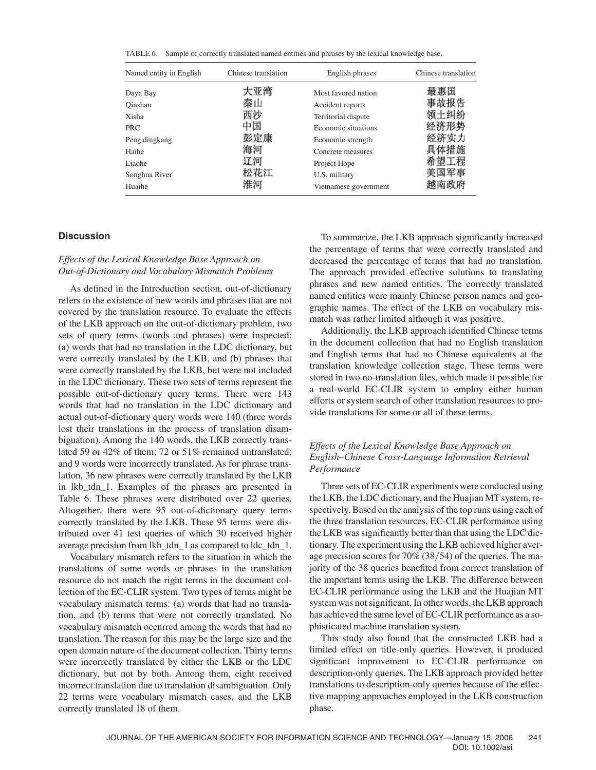TABLE 6. Sample of correctly translated named entities and phrases by the lexical knowledge base.

| Named entity in English                                                                  | Chinese translation                             | English phrases                                                                                                                                                  | Chinese translation                                         |
|------------------------------------------------------------------------------------------|-------------------------------------------------|------------------------------------------------------------------------------------------------------------------------------------------------------------------|-------------------------------------------------------------|
| Daya Bay<br>Oinshan<br>Xisha<br>PRC<br>Peng dingkang<br>Haihe<br>Liaohe<br>Songhua River | 大亚湾<br>秦山<br>西沙<br>中国<br>彭定康<br>海河<br>辽河<br>松花江 | Most favored nation<br>Accident reports<br>Territorial dispute<br>Economic situations<br>Economic strength<br>Concrete measures<br>Project Hope<br>U.S. military | 最惠国<br>事故报告<br>领土纠纷<br>经济形势<br>经济实力<br>具体措施<br>希望工程<br>美国军事 |
| Huaihe                                                                                   | 淮河                                              | Vietnamese government                                                                                                                                            | 越南政府                                                        |

#### **Discussion**

## *Effects of the Lexical Knowledge Base Approach on Out-of-Dictionary and Vocabulary Mismatch Problems*

As defined in the Introduction section, out-of-dictionary refers to the existence of new words and phrases that are not covered by the translation resource. To evaluate the effects of the LKB approach on the out-of-dictionary problem, two sets of query terms (words and phrases) were inspected: (a) words that had no translation in the LDC dictionary, but were correctly translated by the LKB, and (b) phrases that were correctly translated by the LKB, but were not included in the LDC dictionary. These two sets of terms represent the possible out-of-dictionary query terms. There were 143 words that had no translation in the LDC dictionary and actual out-of-dictionary query words were 140 (three words lost their translations in the process of translation disambiguation). Among the 140 words, the LKB correctly translated 59 or 42% of them; 72 or 51% remained untranslated; and 9 words were incorrectly translated. As for phrase translation, 36 new phrases were correctly translated by the LKB in lkb\_tdn\_1. Examples of the phrases are presented in Table 6. These phrases were distributed over 22 queries. Altogether, there were 95 out-of-dictionary query terms correctly translated by the LKB. These 95 terms were distributed over 41 test queries of which 30 received higher average precision from lkb\_tdn\_1 as compared to ldc\_tdn\_1.

Vocabulary mismatch refers to the situation in which the translations of some words or phrases in the translation resource do not match the right terms in the document collection of the EC-CLIR system. Two types of terms might be vocabulary mismatch terms: (a) words that had no translation, and (b) terms that were not correctly translated. No vocabulary mismatch occurred among the words that had no translation. The reason for this may be the large size and the open domain nature of the document collection. Thirty terms were incorrectly translated by either the LKB or the LDC dictionary, but not by both. Among them, eight received incorrect translation due to translation disambiguation. Only 22 terms were vocabulary mismatch cases, and the LKB correctly translated 18 of them.

To summarize, the LKB approach significantly increased the percentage of terms that were correctly translated and decreased the percentage of terms that had no translation. The approach provided effective solutions to translating phrases and new named entities. The correctly translated named entities were mainly Chinese person names and geographic names. The effect of the LKB on vocabulary mismatch was rather limited although it was positive.

Additionally, the LKB approach identified Chinese terms in the document collection that had no English translation and English terms that had no Chinese equivalents at the translation knowledge collection stage. These terms were stored in two no-translation files, which made it possible for a real-world EC-CLIR system to employ either human efforts or system search of other translation resources to provide translations for some or all of these terms.

# *Effects of the Lexical Knowledge Base Approach on English–Chinese Cross-Language Information Retrieval Performance*

Three sets of EC-CLIR experiments were conducted using the LKB, the LDC dictionary, and the Huajian MT system, respectively. Based on the analysis of the top runs using each of the three translation resources, EC-CLIR performance using the LKB was significantly better than that using the LDC dictionary. The experiment using the LKB achieved higher average precision scores for  $70\%$  (38/54) of the queries. The majority of the 38 queries benefited from correct translation of the important terms using the LKB. The difference between EC-CLIR performance using the LKB and the Huajian MT system was not significant. In other words, the LKB approach has achieved the same level of EC-CLIR performance as a sophisticated machine translation system.

This study also found that the constructed LKB had a limited effect on title-only queries. However, it produced significant improvement to EC-CLIR performance on description-only queries. The LKB approach provided better translations to description-only queries because of the effective mapping approaches employed in the LKB construction phase.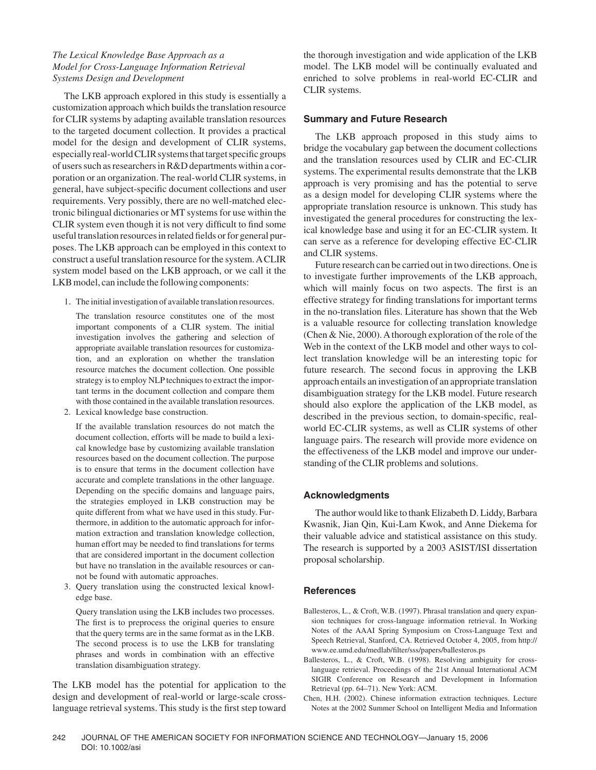# *The Lexical Knowledge Base Approach as a Model for Cross-Language Information Retrieval Systems Design and Development*

The LKB approach explored in this study is essentially a customization approach which builds the translation resource for CLIR systems by adapting available translation resources to the targeted document collection. It provides a practical model for the design and development of CLIR systems, especially real-world CLIR systems that target specific groups of users such as researchers in R&D departments within a corporation or an organization. The real-world CLIR systems, in general, have subject-specific document collections and user requirements. Very possibly, there are no well-matched electronic bilingual dictionaries or MT systems for use within the CLIR system even though it is not very difficult to find some useful translation resources in related fields or for general purposes. The LKB approach can be employed in this context to construct a useful translation resource for the system.ACLIR system model based on the LKB approach, or we call it the LKB model, can include the following components:

1. The initial investigation of available translation resources.

The translation resource constitutes one of the most important components of a CLIR system. The initial investigation involves the gathering and selection of appropriate available translation resources for customization, and an exploration on whether the translation resource matches the document collection. One possible strategy is to employ NLP techniques to extract the important terms in the document collection and compare them with those contained in the available translation resources.

2. Lexical knowledge base construction.

If the available translation resources do not match the document collection, efforts will be made to build a lexical knowledge base by customizing available translation resources based on the document collection. The purpose is to ensure that terms in the document collection have accurate and complete translations in the other language. Depending on the specific domains and language pairs, the strategies employed in LKB construction may be quite different from what we have used in this study. Furthermore, in addition to the automatic approach for information extraction and translation knowledge collection, human effort may be needed to find translations for terms that are considered important in the document collection but have no translation in the available resources or cannot be found with automatic approaches.

3. Query translation using the constructed lexical knowledge base.

Query translation using the LKB includes two processes. The first is to preprocess the original queries to ensure that the query terms are in the same format as in the LKB. The second process is to use the LKB for translating phrases and words in combination with an effective translation disambiguation strategy.

The LKB model has the potential for application to the design and development of real-world or large-scale crosslanguage retrieval systems. This study is the first step toward

the thorough investigation and wide application of the LKB model. The LKB model will be continually evaluated and enriched to solve problems in real-world EC-CLIR and CLIR systems.

# **Summary and Future Research**

The LKB approach proposed in this study aims to bridge the vocabulary gap between the document collections and the translation resources used by CLIR and EC-CLIR systems. The experimental results demonstrate that the LKB approach is very promising and has the potential to serve as a design model for developing CLIR systems where the appropriate translation resource is unknown. This study has investigated the general procedures for constructing the lexical knowledge base and using it for an EC-CLIR system. It can serve as a reference for developing effective EC-CLIR and CLIR systems.

Future research can be carried out in two directions. One is to investigate further improvements of the LKB approach, which will mainly focus on two aspects. The first is an effective strategy for finding translations for important terms in the no-translation files. Literature has shown that the Web is a valuable resource for collecting translation knowledge (Chen & Nie, 2000). A thorough exploration of the role of the Web in the context of the LKB model and other ways to collect translation knowledge will be an interesting topic for future research. The second focus in approving the LKB approach entails an investigation of an appropriate translation disambiguation strategy for the LKB model. Future research should also explore the application of the LKB model, as described in the previous section, to domain-specific, realworld EC-CLIR systems, as well as CLIR systems of other language pairs. The research will provide more evidence on the effectiveness of the LKB model and improve our understanding of the CLIR problems and solutions.

# **Acknowledgments**

The author would like to thank Elizabeth D. Liddy, Barbara Kwasnik, Jian Qin, Kui-Lam Kwok, and Anne Diekema for their valuable advice and statistical assistance on this study. The research is supported by a 2003 ASIST/ISI dissertation proposal scholarship.

# **References**

- Ballesteros, L., & Croft, W.B. (1997). Phrasal translation and query expansion techniques for cross-language information retrieval. In Working Notes of the AAAI Spring Symposium on Cross-Language Text and Speech Retrieval, Stanford, CA. Retrieved October 4, 2005, from http:// www.ee.umd.edu/medlab/filter/sss/papers/ballesteros.ps
- Ballesteros, L., & Croft, W.B. (1998). Resolving ambiguity for crosslanguage retrieval. Proceedings of the 21st Annual International ACM SIGIR Conference on Research and Development in Information Retrieval (pp. 64–71). New York: ACM.
- Chen, H.H. (2002). Chinese information extraction techniques. Lecture Notes at the 2002 Summer School on Intelligent Media and Information